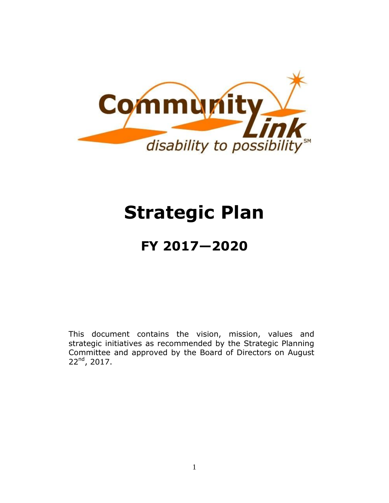

# **Strategic Plan**

# **FY 2017—2020**

This document contains the vision, mission, values and strategic initiatives as recommended by the Strategic Planning Committee and approved by the Board of Directors on August  $22<sup>nd</sup>$ , 2017.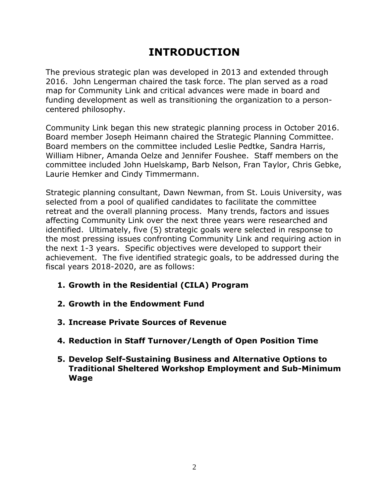# **INTRODUCTION**

The previous strategic plan was developed in 2013 and extended through 2016. John Lengerman chaired the task force. The plan served as a road map for Community Link and critical advances were made in board and funding development as well as transitioning the organization to a personcentered philosophy.

Community Link began this new strategic planning process in October 2016. Board member Joseph Heimann chaired the Strategic Planning Committee. Board members on the committee included Leslie Pedtke, Sandra Harris, William Hibner, Amanda Oelze and Jennifer Foushee. Staff members on the committee included John Huelskamp, Barb Nelson, Fran Taylor, Chris Gebke, Laurie Hemker and Cindy Timmermann.

Strategic planning consultant, Dawn Newman, from St. Louis University, was selected from a pool of qualified candidates to facilitate the committee retreat and the overall planning process. Many trends, factors and issues affecting Community Link over the next three years were researched and identified. Ultimately, five (5) strategic goals were selected in response to the most pressing issues confronting Community Link and requiring action in the next 1-3 years. Specific objectives were developed to support their achievement. The five identified strategic goals, to be addressed during the fiscal years 2018-2020, are as follows:

- **1. Growth in the Residential (CILA) Program**
- **2. Growth in the Endowment Fund**
- **3. Increase Private Sources of Revenue**
- **4. Reduction in Staff Turnover/Length of Open Position Time**
- **5. Develop Self-Sustaining Business and Alternative Options to Traditional Sheltered Workshop Employment and Sub-Minimum Wage**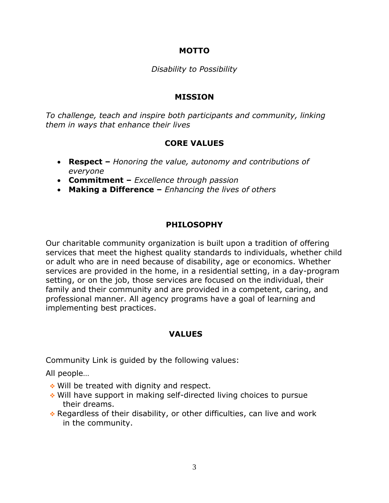#### **MOTTO**

#### *Disability to Possibility*

#### **MISSION**

*To challenge, teach and inspire both participants and community, linking them in ways that enhance their lives*

#### **CORE VALUES**

- **Respect –** *Honoring the value, autonomy and contributions of everyone*
- **Commitment –** *Excellence through passion*
- **Making a Difference –** *Enhancing the lives of others*

#### **PHILOSOPHY**

Our charitable community organization is built upon a tradition of offering services that meet the highest quality standards to individuals, whether child or adult who are in need because of disability, age or economics. Whether services are provided in the home, in a residential setting, in a day-program setting, or on the job, those services are focused on the individual, their family and their community and are provided in a competent, caring, and professional manner. All agency programs have a goal of learning and implementing best practices.

#### **VALUES**

Community Link is guided by the following values:

All people…

- ◆ Will be treated with dignity and respect.
- Will have support in making self-directed living choices to pursue their dreams.
- Regardless of their disability, or other difficulties, can live and work in the community.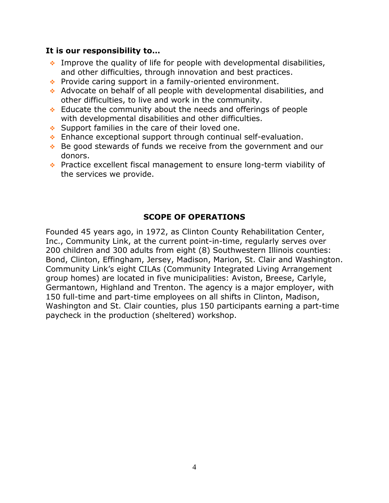#### **It is our responsibility to…**

- $\cdot$  Improve the quality of life for people with developmental disabilities, and other difficulties, through innovation and best practices.
- Provide caring support in a family-oriented environment.
- Advocate on behalf of all people with developmental disabilities, and other difficulties, to live and work in the community.
- $\cdot$  Educate the community about the needs and offerings of people with developmental disabilities and other difficulties.
- $\cdot$  Support families in the care of their loved one.
- $\cdot$  Enhance exceptional support through continual self-evaluation.
- ◆ Be good stewards of funds we receive from the government and our donors.
- ◆ Practice excellent fiscal management to ensure long-term viability of the services we provide.

#### **SCOPE OF OPERATIONS**

Founded 45 years ago, in 1972, as Clinton County Rehabilitation Center, Inc., Community Link, at the current point-in-time, regularly serves over 200 children and 300 adults from eight (8) Southwestern Illinois counties: Bond, Clinton, Effingham, Jersey, Madison, Marion, St. Clair and Washington. Community Link's eight CILAs (Community Integrated Living Arrangement group homes) are located in five municipalities: Aviston, Breese, Carlyle, Germantown, Highland and Trenton. The agency is a major employer, with 150 full-time and part-time employees on all shifts in Clinton, Madison, Washington and St. Clair counties, plus 150 participants earning a part-time paycheck in the production (sheltered) workshop.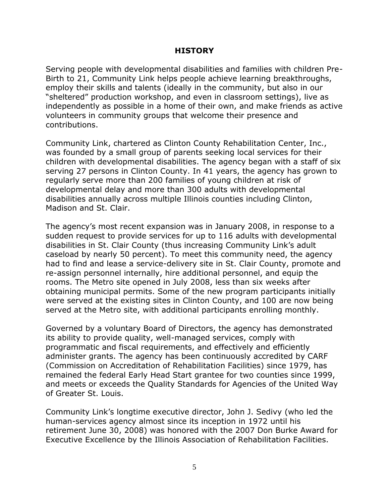#### **HISTORY**

Serving people with developmental disabilities and families with children Pre-Birth to 21, Community Link helps people achieve learning breakthroughs, employ their skills and talents (ideally in the community, but also in our "sheltered" production workshop, and even in classroom settings), live as independently as possible in a home of their own, and make friends as active volunteers in community groups that welcome their presence and contributions.

Community Link, chartered as Clinton County Rehabilitation Center, Inc., was founded by a small group of parents seeking local services for their children with developmental disabilities. The agency began with a staff of six serving 27 persons in Clinton County. In 41 years, the agency has grown to regularly serve more than 200 families of young children at risk of developmental delay and more than 300 adults with developmental disabilities annually across multiple Illinois counties including Clinton, Madison and St. Clair.

The agency's most recent expansion was in January 2008, in response to a sudden request to provide services for up to 116 adults with developmental disabilities in St. Clair County (thus increasing Community Link's adult caseload by nearly 50 percent). To meet this community need, the agency had to find and lease a service-delivery site in St. Clair County, promote and re-assign personnel internally, hire additional personnel, and equip the rooms. The Metro site opened in July 2008, less than six weeks after obtaining municipal permits. Some of the new program participants initially were served at the existing sites in Clinton County, and 100 are now being served at the Metro site, with additional participants enrolling monthly.

Governed by a voluntary Board of Directors, the agency has demonstrated its ability to provide quality, well-managed services, comply with programmatic and fiscal requirements, and effectively and efficiently administer grants. The agency has been continuously accredited by CARF (Commission on Accreditation of Rehabilitation Facilities) since 1979, has remained the federal Early Head Start grantee for two counties since 1999, and meets or exceeds the Quality Standards for Agencies of the United Way of Greater St. Louis.

Community Link's longtime executive director, John J. Sedivy (who led the human-services agency almost since its inception in 1972 until his retirement June 30, 2008) was honored with the 2007 Don Burke Award for Executive Excellence by the Illinois Association of Rehabilitation Facilities.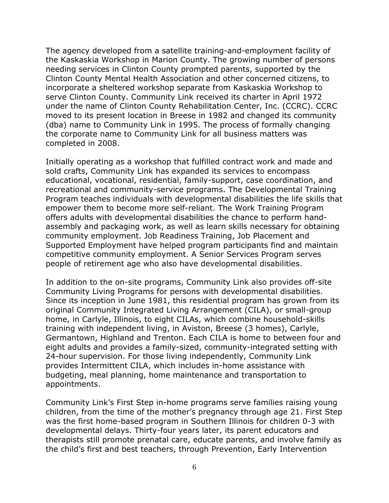The agency developed from a satellite training-and-employment facility of the Kaskaskia Workshop in Marion County. The growing number of persons needing services in Clinton County prompted parents, supported by the Clinton County Mental Health Association and other concerned citizens, to incorporate a sheltered workshop separate from Kaskaskia Workshop to serve Clinton County. Community Link received its charter in April 1972 under the name of Clinton County Rehabilitation Center, Inc. (CCRC). CCRC moved to its present location in Breese in 1982 and changed its community (dba) name to Community Link in 1995. The process of formally changing the corporate name to Community Link for all business matters was completed in 2008.

Initially operating as a workshop that fulfilled contract work and made and sold crafts, Community Link has expanded its services to encompass educational, vocational, residential, family-support, case coordination, and recreational and community-service programs. The Developmental Training Program teaches individuals with developmental disabilities the life skills that empower them to become more self-reliant. The Work Training Program offers adults with developmental disabilities the chance to perform handassembly and packaging work, as well as learn skills necessary for obtaining community employment. Job Readiness Training, Job Placement and Supported Employment have helped program participants find and maintain competitive community employment. A Senior Services Program serves people of retirement age who also have developmental disabilities.

In addition to the on-site programs, Community Link also provides off-site Community Living Programs for persons with developmental disabilities. Since its inception in June 1981, this residential program has grown from its original Community Integrated Living Arrangement (CILA), or small-group home, in Carlyle, Illinois, to eight CILAs, which combine household-skills training with independent living, in Aviston, Breese (3 homes), Carlyle, Germantown, Highland and Trenton. Each CILA is home to between four and eight adults and provides a family-sized, community-integrated setting with 24-hour supervision. For those living independently, Community Link provides Intermittent CILA, which includes in-home assistance with budgeting, meal planning, home maintenance and transportation to appointments.

Community Link's First Step in-home programs serve families raising young children, from the time of the mother's pregnancy through age 21. First Step was the first home-based program in Southern Illinois for children 0-3 with developmental delays. Thirty-four years later, its parent educators and therapists still promote prenatal care, educate parents, and involve family as the child's first and best teachers, through Prevention, Early Intervention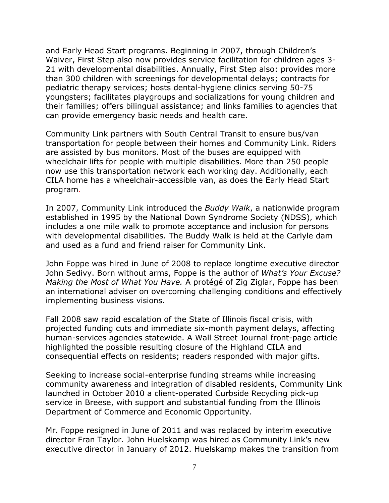and Early Head Start programs. Beginning in 2007, through Children's Waiver, First Step also now provides service facilitation for children ages 3- 21 with developmental disabilities. Annually, First Step also: provides more than 300 children with screenings for developmental delays; contracts for pediatric therapy services; hosts dental-hygiene clinics serving 50-75 youngsters; facilitates playgroups and socializations for young children and their families; offers bilingual assistance; and links families to agencies that can provide emergency basic needs and health care.

Community Link partners with South Central Transit to ensure bus/van transportation for people between their homes and Community Link. Riders are assisted by bus monitors. Most of the buses are equipped with wheelchair lifts for people with multiple disabilities. More than 250 people now use this transportation network each working day. Additionally, each CILA home has a wheelchair-accessible van, as does the Early Head Start program.

In 2007, Community Link introduced the *Buddy Walk*, a nationwide program established in 1995 by the National Down Syndrome Society (NDSS), which includes a one mile walk to promote acceptance and inclusion for persons with developmental disabilities. The Buddy Walk is held at the Carlyle dam and used as a fund and friend raiser for Community Link.

John Foppe was hired in June of 2008 to replace longtime executive director John Sedivy. Born without arms, Foppe is the author of *What's Your Excuse? Making the Most of What You Have.* A protégé of Zig Ziglar, Foppe has been an international adviser on overcoming challenging conditions and effectively implementing business visions.

Fall 2008 saw rapid escalation of the State of Illinois fiscal crisis, with projected funding cuts and immediate six-month payment delays, affecting human-services agencies statewide. A Wall Street Journal front-page article highlighted the possible resulting closure of the Highland CILA and consequential effects on residents; readers responded with major gifts.

Seeking to increase social-enterprise funding streams while increasing community awareness and integration of disabled residents, Community Link launched in October 2010 a client-operated Curbside Recycling pick-up service in Breese, with support and substantial funding from the Illinois Department of Commerce and Economic Opportunity.

Mr. Foppe resigned in June of 2011 and was replaced by interim executive director Fran Taylor. John Huelskamp was hired as Community Link's new executive director in January of 2012. Huelskamp makes the transition from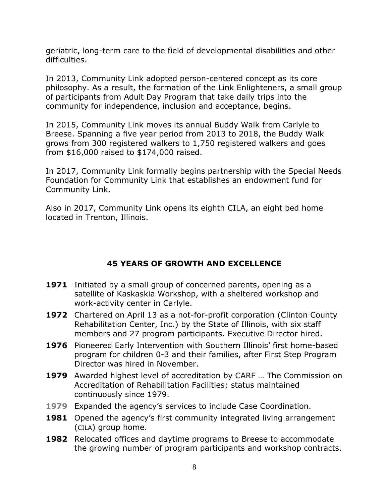geriatric, long-term care to the field of developmental disabilities and other difficulties.

In 2013, Community Link adopted person-centered concept as its core philosophy. As a result, the formation of the Link Enlighteners, a small group of participants from Adult Day Program that take daily trips into the community for independence, inclusion and acceptance, begins.

In 2015, Community Link moves its annual Buddy Walk from Carlyle to Breese. Spanning a five year period from 2013 to 2018, the Buddy Walk grows from 300 registered walkers to 1,750 registered walkers and goes from \$16,000 raised to \$174,000 raised.

In 2017, Community Link formally begins partnership with the Special Needs Foundation for Community Link that establishes an endowment fund for Community Link.

Also in 2017, Community Link opens its eighth CILA, an eight bed home located in Trenton, Illinois.

#### **45 YEARS OF GROWTH AND EXCELLENCE**

- **1971** Initiated by a small group of concerned parents, opening as a satellite of Kaskaskia Workshop, with a sheltered workshop and work-activity center in Carlyle.
- **1972** Chartered on April 13 as a not-for-profit corporation (Clinton County Rehabilitation Center, Inc.) by the State of Illinois, with six staff members and 27 program participants. Executive Director hired.
- **1976** Pioneered Early Intervention with Southern Illinois' first home-based program for children 0-3 and their families, after First Step Program Director was hired in November.
- **1979** Awarded highest level of accreditation by CARF … The Commission on Accreditation of Rehabilitation Facilities; status maintained continuously since 1979.
- **1979** Expanded the agency's services to include Case Coordination.
- **1981** Opened the agency's first community integrated living arrangement (CILA) group home.
- **1982** Relocated offices and daytime programs to Breese to accommodate the growing number of program participants and workshop contracts.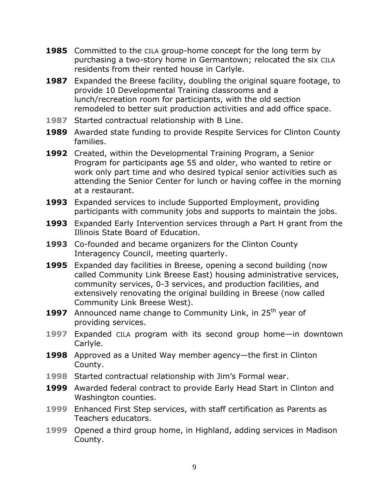- **1985** Committed to the CILA group-home concept for the long term by purchasing a two-story home in Germantown; relocated the six CILA residents from their rented house in Carlyle.
- **1987** Expanded the Breese facility, doubling the original square footage, to provide 10 Developmental Training classrooms and a lunch/recreation room for participants, with the old section remodeled to better suit production activities and add office space.
- **1987** Started contractual relationship with B Line.
- **1989** Awarded state funding to provide Respite Services for Clinton County families.
- **1992** Created, within the Developmental Training Program, a Senior Program for participants age 55 and older, who wanted to retire or work only part time and who desired typical senior activities such as attending the Senior Center for lunch or having coffee in the morning at a restaurant.
- **1993** Expanded services to include Supported Employment, providing participants with community jobs and supports to maintain the jobs.
- **1993** Expanded Early Intervention services through a Part H grant from the Illinois State Board of Education.
- **1993** Co-founded and became organizers for the Clinton County Interagency Council, meeting quarterly.
- **1995** Expanded day facilities in Breese, opening a second building (now called Community Link Breese East) housing administrative services, community services, 0-3 services, and production facilities, and extensively renovating the original building in Breese (now called Community Link Breese West).
- **1997** Announced name change to Community Link, in 25<sup>th</sup> year of providing services.
- **1997** Expanded CILA program with its second group home—in downtown Carlyle.
- **1998** Approved as a United Way member agency—the first in Clinton County.
- **1998** Started contractual relationship with Jim's Formal wear.
- **1999** Awarded federal contract to provide Early Head Start in Clinton and Washington counties.
- **1999** Enhanced First Step services, with staff certification as Parents as Teachers educators.
- **1999** Opened a third group home, in Highland, adding services in Madison County.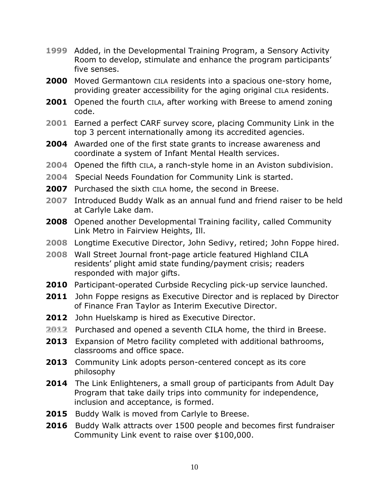- **1999** Added, in the Developmental Training Program, a Sensory Activity Room to develop, stimulate and enhance the program participants' five senses.
- **2000** Moved Germantown CILA residents into a spacious one-story home, providing greater accessibility for the aging original CILA residents.
- **2001** Opened the fourth CILA, after working with Breese to amend zoning code.
- **2001** Earned a perfect CARF survey score, placing Community Link in the top 3 percent internationally among its accredited agencies.
- **2004** Awarded one of the first state grants to increase awareness and coordinate a system of Infant Mental Health services.
- **2004** Opened the fifth CILA, a ranch-style home in an Aviston subdivision.
- **2004** Special Needs Foundation for Community Link is started.
- **2007** Purchased the sixth CILA home, the second in Breese.
- **2007** Introduced Buddy Walk as an annual fund and friend raiser to be held at Carlyle Lake dam.
- **2008** Opened another Developmental Training facility, called Community Link Metro in Fairview Heights, Ill.
- **2008** Longtime Executive Director, John Sedivy, retired; John Foppe hired.
- **2008** Wall Street Journal front-page article featured Highland CILA residents' plight amid state funding/payment crisis; readers responded with major gifts.
- **2010** Participant-operated Curbside Recycling pick-up service launched.
- **2011** John Foppe resigns as Executive Director and is replaced by Director of Finance Fran Taylor as Interim Executive Director.
- **2012** John Huelskamp is hired as Executive Director.
- **2012** Purchased and opened a seventh CILA home, the third in Breese.
- **2013** Expansion of Metro facility completed with additional bathrooms, classrooms and office space.
- **2013** Community Link adopts person-centered concept as its core philosophy
- **2014** The Link Enlighteners, a small group of participants from Adult Day Program that take daily trips into community for independence, inclusion and acceptance, is formed.
- **2015** Buddy Walk is moved from Carlyle to Breese.
- **2016** Buddy Walk attracts over 1500 people and becomes first fundraiser Community Link event to raise over \$100,000.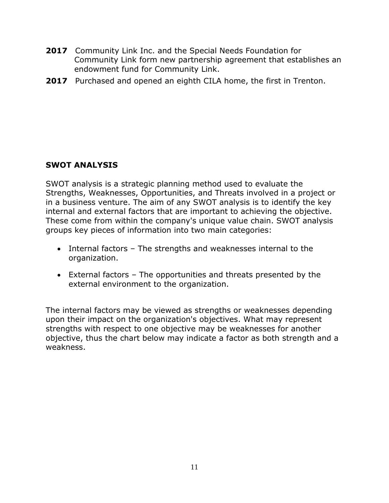- **2017** Community Link Inc. and the Special Needs Foundation for Community Link form new partnership agreement that establishes an endowment fund for Community Link.
- **2017** Purchased and opened an eighth CILA home, the first in Trenton.

#### **SWOT ANALYSIS**

SWOT analysis is a strategic planning method used to evaluate the Strengths, Weaknesses, Opportunities, and Threats involved in a project or in a business venture. The aim of any SWOT analysis is to identify the key internal and external factors that are important to achieving the objective. These come from within the company's unique value chain. SWOT analysis groups key pieces of information into two main categories:

- Internal factors The strengths and weaknesses internal to the organization.
- External factors The opportunities and threats presented by the external environment to the organization.

The internal factors may be viewed as strengths or weaknesses depending upon their impact on the organization's objectives. What may represent strengths with respect to one objective may be weaknesses for another objective, thus the chart below may indicate a factor as both strength and a weakness.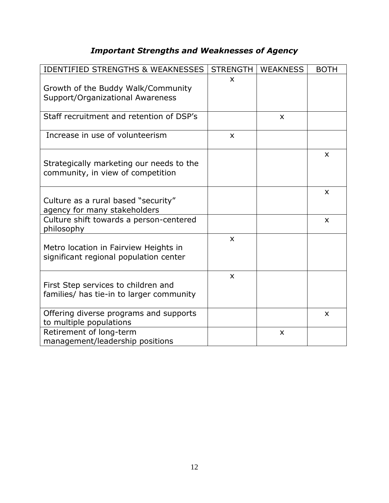### *Important Strengths and Weaknesses of Agency*

| <b>IDENTIFIED STRENGTHS &amp; WEAKNESSES</b>                                    | <b>STRENGTH</b>           | <b>WEAKNESS</b> | <b>BOTH</b> |
|---------------------------------------------------------------------------------|---------------------------|-----------------|-------------|
| Growth of the Buddy Walk/Community<br>Support/Organizational Awareness          | X                         |                 |             |
| Staff recruitment and retention of DSP's                                        |                           | X               |             |
| Increase in use of volunteerism                                                 | $\boldsymbol{\mathsf{x}}$ |                 |             |
| Strategically marketing our needs to the<br>community, in view of competition   |                           |                 | X           |
| Culture as a rural based "security"<br>agency for many stakeholders             |                           |                 | X           |
| Culture shift towards a person-centered<br>philosophy                           |                           |                 | X           |
| Metro location in Fairview Heights in<br>significant regional population center | $\boldsymbol{\mathsf{x}}$ |                 |             |
| First Step services to children and<br>families/ has tie-in to larger community | $\boldsymbol{\mathsf{x}}$ |                 |             |
| Offering diverse programs and supports<br>to multiple populations               |                           |                 | X           |
| Retirement of long-term<br>management/leadership positions                      |                           | X               |             |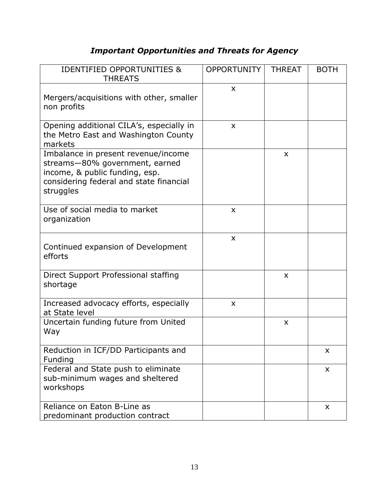## *Important Opportunities and Threats for Agency*

| <b>IDENTIFIED OPPORTUNITIES &amp;</b><br><b>THREATS</b>                                                                                                         | <b>OPPORTUNITY</b> | <b>THREAT</b>  | <b>BOTH</b> |
|-----------------------------------------------------------------------------------------------------------------------------------------------------------------|--------------------|----------------|-------------|
| Mergers/acquisitions with other, smaller<br>non profits                                                                                                         | $\mathsf{x}$       |                |             |
| Opening additional CILA's, especially in<br>the Metro East and Washington County<br>markets                                                                     | X                  |                |             |
| Imbalance in present revenue/income<br>streams-80% government, earned<br>income, & public funding, esp.<br>considering federal and state financial<br>struggles |                    | X              |             |
| Use of social media to market<br>organization                                                                                                                   | X                  |                |             |
| Continued expansion of Development<br>efforts                                                                                                                   | X                  |                |             |
| Direct Support Professional staffing<br>shortage                                                                                                                |                    | $\pmb{\times}$ |             |
| Increased advocacy efforts, especially<br>at State level                                                                                                        | $\mathsf{x}$       |                |             |
| Uncertain funding future from United<br>Way                                                                                                                     |                    | X              |             |
| Reduction in ICF/DD Participants and<br>Funding                                                                                                                 |                    |                | X           |
| Federal and State push to eliminate<br>sub-minimum wages and sheltered<br>workshops                                                                             |                    |                | X           |
| Reliance on Eaton B-Line as<br>predominant production contract                                                                                                  |                    |                | X           |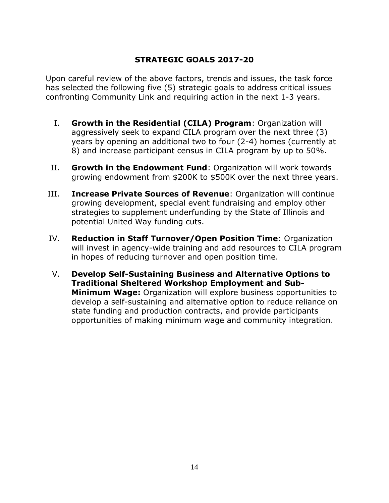#### **STRATEGIC GOALS 2017-20**

Upon careful review of the above factors, trends and issues, the task force has selected the following five (5) strategic goals to address critical issues confronting Community Link and requiring action in the next 1-3 years.

- I. **Growth in the Residential (CILA) Program**: Organization will aggressively seek to expand CILA program over the next three (3) years by opening an additional two to four (2-4) homes (currently at 8) and increase participant census in CILA program by up to 50%.
- II. **Growth in the Endowment Fund**: Organization will work towards growing endowment from \$200K to \$500K over the next three years.
- III. **Increase Private Sources of Revenue**: Organization will continue growing development, special event fundraising and employ other strategies to supplement underfunding by the State of Illinois and potential United Way funding cuts.
- IV. **Reduction in Staff Turnover/Open Position Time**: Organization will invest in agency-wide training and add resources to CILA program in hopes of reducing turnover and open position time.
- V. **Develop Self-Sustaining Business and Alternative Options to Traditional Sheltered Workshop Employment and Sub-Minimum Wage:** Organization will explore business opportunities to develop a self-sustaining and alternative option to reduce reliance on state funding and production contracts, and provide participants opportunities of making minimum wage and community integration.